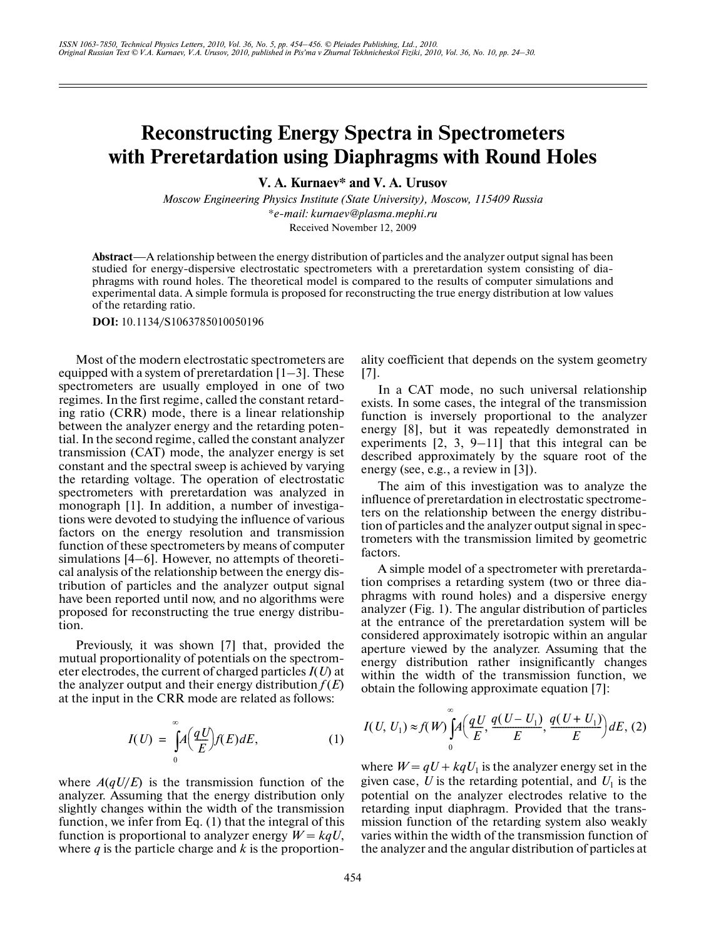## **Reconstructing Energy Spectra in Spectrometers with Preretardation using Diaphragms with Round Holes**

**V. A. Kurnaev\* and V. A. Urusov**

*Moscow Engineering Physics Institute (State University), Moscow, 115409 Russia \*e-mail: kurnaev@plasma.mephi.ru* Received November 12, 2009

**Abstract**—A relationship between the energy distribution of particles and the analyzer output signal has been studied for energy-dispersive electrostatic spectrometers with a preretardation system consisting of diaphragms with round holes. The theoretical model is compared to the results of computer simulations and experimental data. A simple formula is proposed for reconstructing the true energy distribution at low values of the retarding ratio.

**DOI:** 10.1134/S1063785010050196

Most of the modern electrostatic spectrometers are equipped with a system of preretardation  $[1-3]$ . These spectrometers are usually employed in one of two regimes. In the first regime, called the constant retard ing ratio (CRR) mode, there is a linear relationship between the analyzer energy and the retarding poten tial. In the second regime, called the constant analyzer transmission (CAT) mode, the analyzer energy is set constant and the spectral sweep is achieved by varying the retarding voltage. The operation of electrostatic spectrometers with preretardation was analyzed in monograph [1]. In addition, a number of investiga tions were devoted to studying the influence of various factors on the energy resolution and transmission function of these spectrometers by means of computer simulations [4–6]. However, no attempts of theoreti cal analysis of the relationship between the energy dis tribution of particles and the analyzer output signal have been reported until now, and no algorithms were proposed for reconstructing the true energy distribu tion.

Previously, it was shown [7] that, provided the mutual proportionality of potentials on the spectrom eter electrodes, the current of charged particles *I*(*U*) at the analyzer output and their energy distribution  $f(E)$ at the input in the CRR mode are related as follows:

$$
I(U) = \int_{0}^{\infty} A\left(\frac{qU}{E}\right) f(E) dE, \tag{1}
$$

where  $A(qU/E)$  is the transmission function of the analyzer. Assuming that the energy distribution only slightly changes within the width of the transmission function, we infer from Eq. (1) that the integral of this function is proportional to analyzer energy  $W = kqU$ , where *q* is the particle charge and *k* is the proportionality coefficient that depends on the system geometry [7].

In a CAT mode, no such universal relationship exists. In some cases, the integral of the transmission function is inversely proportional to the analyzer energy [8], but it was repeatedly demonstrated in experiments [2, 3, 9–11] that this integral can be described approximately by the square root of the energy (see, e.g., a review in [3]).

The aim of this investigation was to analyze the influence of preretardation in electrostatic spectrome ters on the relationship between the energy distribu tion of particles and the analyzer output signal in spec trometers with the transmission limited by geometric factors.

A simple model of a spectrometer with preretarda tion comprises a retarding system (two or three dia phragms with round holes) and a dispersive energy analyzer (Fig. 1). The angular distribution of particles at the entrance of the preretardation system will be considered approximately isotropic within an angular aperture viewed by the analyzer. Assuming that the energy distribution rather insignificantly changes within the width of the transmission function, we obtain the following approximate equation [7]:

$$
I(U, U_1) \approx f(W) \bigg[ A\bigg(\frac{qU}{E}, \frac{q(U-U_1)}{E}, \frac{q(U+U_1)}{E}\bigg) dE, (2)
$$

where  $W = qU + kqU_1$  is the analyzer energy set in the given case,  $U$  is the retarding potential, and  $U_1$  is the potential on the analyzer electrodes relative to the retarding input diaphragm. Provided that the trans mission function of the retarding system also weakly varies within the width of the transmission function of the analyzer and the angular distribution of particles at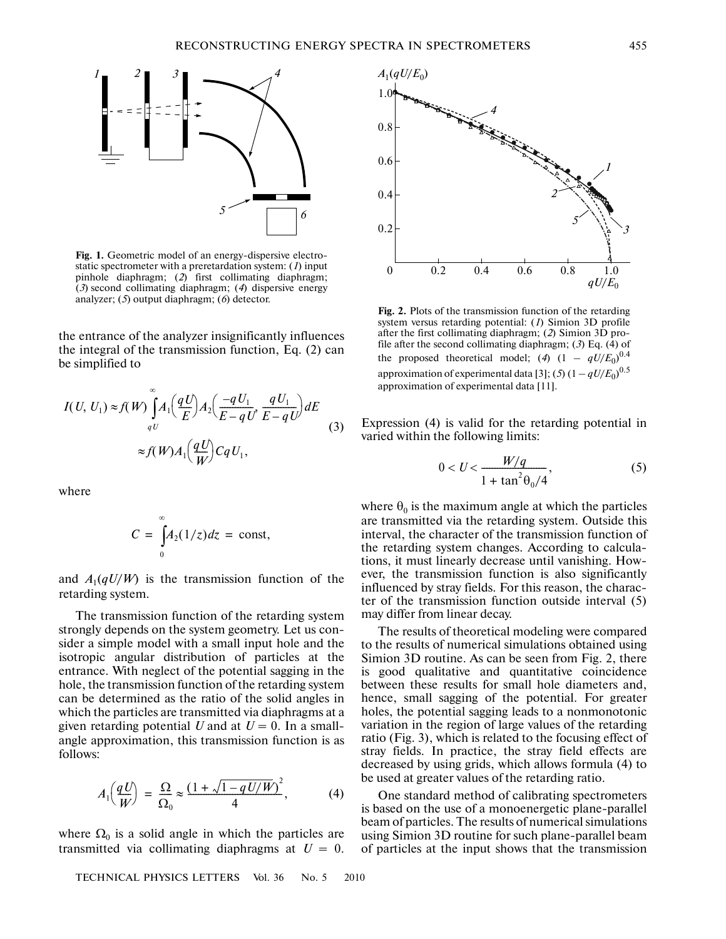

**Fig. 1.** Geometric model of an energy-dispersive electro static spectrometer with a preretardation system: (*1*) input pinhole diaphragm; (*2*) first collimating diaphragm; (*3*) second collimating diaphragm; (*4*) dispersive energy analyzer; (*5*) output diaphragm; (*6*) detector.

the entrance of the analyzer insignificantly influences the integral of the transmission function, Eq. (2) can be simplified to

$$
I(U, U_1) \approx f(W) \int_{qU}^{\infty} A_1 \left(\frac{qU}{E}\right) A_2 \left(\frac{-qU_1}{E - qU} \cdot \frac{qU_1}{E - qU}\right) dE
$$
  

$$
\approx f(W) A_1 \left(\frac{qU}{W}\right) C qU_1,
$$
 (3)

where

$$
C = \int_{0}^{\infty} A_2(1/z) dz = \text{const},
$$

and  $A_1(qU/W)$  is the transmission function of the retarding system.

The transmission function of the retarding system strongly depends on the system geometry. Let us con sider a simple model with a small input hole and the isotropic angular distribution of particles at the entrance. With neglect of the potential sagging in the hole, the transmission function of the retarding system can be determined as the ratio of the solid angles in which the particles are transmitted via diaphragms at a given retarding potential  $U$  and at  $U = 0$ . In a smallangle approximation, this transmission function is as follows:

$$
A_1\left(\frac{qU}{W}\right) = \frac{\Omega}{\Omega_0} \approx \frac{(1 + \sqrt{1 - qU/W})^2}{4},\tag{4}
$$

where  $\Omega_0$  is a solid angle in which the particles are transmitted via collimating diaphragms at  $U = 0$ .

TECHNICAL PHYSICS LETTERS Vol. 36 No. 5 2010



**Fig. 2.** Plots of the transmission function of the retarding system versus retarding potential: (*1*) Simion 3D profile after the first collimating diaphragm; (*2*) Simion 3D pro file after the second collimating diaphragm; (*3*) Eq. (4) of the proposed theoretical model; (4)  $(1 - qU/E_0)^{0.4}$ approximation of experimental data [3]; (*5*)  $(1 - qU/E_0)^{0.5}$ approximation of experimental data [11].

Expression (4) is valid for the retarding potential in varied within the following limits:

$$
0 < U < \frac{W/q}{1 + \tan^2 \theta_0 / 4},\tag{5}
$$

where  $\theta_0$  is the maximum angle at which the particles are transmitted via the retarding system. Outside this interval, the character of the transmission function of the retarding system changes. According to calcula tions, it must linearly decrease until vanishing. How ever, the transmission function is also significantly influenced by stray fields. For this reason, the charac ter of the transmission function outside interval (5) may differ from linear decay.

The results of theoretical modeling were compared to the results of numerical simulations obtained using Simion 3D routine. As can be seen from Fig. 2, there is good qualitative and quantitative coincidence between these results for small hole diameters and, hence, small sagging of the potential. For greater holes, the potential sagging leads to a nonmonotonic variation in the region of large values of the retarding ratio (Fig. 3), which is related to the focusing effect of stray fields. In practice, the stray field effects are decreased by using grids, which allows formula (4) to be used at greater values of the retarding ratio.

One standard method of calibrating spectrometers is based on the use of a monoenergetic plane-parallel beam of particles. The results of numerical simulations using Simion 3D routine for such plane-parallel beam of particles at the input shows that the transmission